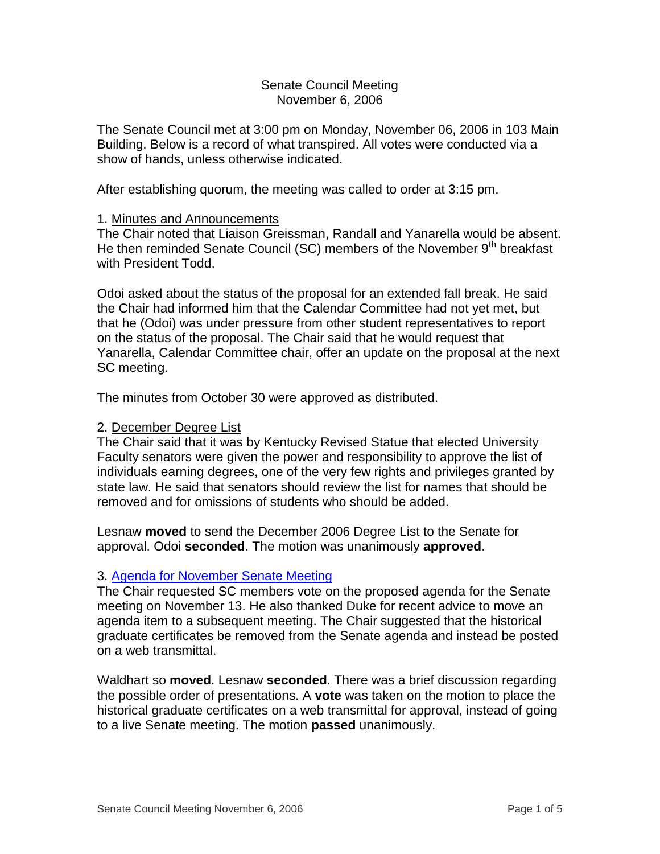## Senate Council Meeting November 6, 2006

The Senate Council met at 3:00 pm on Monday, November 06, 2006 in 103 Main Building. Below is a record of what transpired. All votes were conducted via a show of hands, unless otherwise indicated.

After establishing quorum, the meeting was called to order at 3:15 pm.

# 1. Minutes and Announcements

The Chair noted that Liaison Greissman, Randall and Yanarella would be absent. He then reminded Senate Council (SC) members of the November 9<sup>th</sup> breakfast with President Todd.

Odoi asked about the status of the proposal for an extended fall break. He said the Chair had informed him that the Calendar Committee had not yet met, but that he (Odoi) was under pressure from other student representatives to report on the status of the proposal. The Chair said that he would request that Yanarella, Calendar Committee chair, offer an update on the proposal at the next SC meeting.

The minutes from October 30 were approved as distributed.

## 2. December Degree List

The Chair said that it was by Kentucky Revised Statue that elected University Faculty senators were given the power and responsibility to approve the list of individuals earning degrees, one of the very few rights and privileges granted by state law. He said that senators should review the list for names that should be removed and for omissions of students who should be added.

Lesnaw **moved** to send the December 2006 Degree List to the Senate for approval. Odoi **seconded**. The motion was unanimously **approved**.

#### 3. [Agenda for November Senate Meeting](http://www.uky.edu/USC/New/files/20061106/Tentative%20Senate%20Agenda%20for%2011-13-06.pdf)

The Chair requested SC members vote on the proposed agenda for the Senate meeting on November 13. He also thanked Duke for recent advice to move an agenda item to a subsequent meeting. The Chair suggested that the historical graduate certificates be removed from the Senate agenda and instead be posted on a web transmittal.

Waldhart so **moved**. Lesnaw **seconded**. There was a brief discussion regarding the possible order of presentations. A **vote** was taken on the motion to place the historical graduate certificates on a web transmittal for approval, instead of going to a live Senate meeting. The motion **passed** unanimously.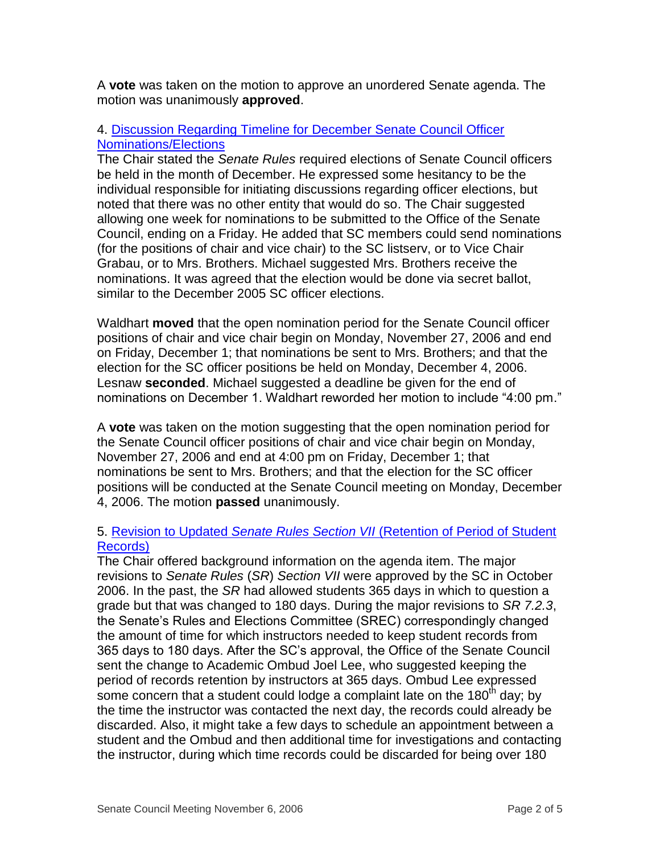A **vote** was taken on the motion to approve an unordered Senate agenda. The motion was unanimously **approved**.

# 4. [Discussion Regarding Timeline for December Senate Council Officer](http://www.uky.edu/USC/New/files/20061106/Calendar.pdf)  [Nominations/Elections](http://www.uky.edu/USC/New/files/20061106/Calendar.pdf)

The Chair stated the *Senate Rules* required elections of Senate Council officers be held in the month of December. He expressed some hesitancy to be the individual responsible for initiating discussions regarding officer elections, but noted that there was no other entity that would do so. The Chair suggested allowing one week for nominations to be submitted to the Office of the Senate Council, ending on a Friday. He added that SC members could send nominations (for the positions of chair and vice chair) to the SC listserv, or to Vice Chair Grabau, or to Mrs. Brothers. Michael suggested Mrs. Brothers receive the nominations. It was agreed that the election would be done via secret ballot, similar to the December 2005 SC officer elections.

Waldhart **moved** that the open nomination period for the Senate Council officer positions of chair and vice chair begin on Monday, November 27, 2006 and end on Friday, December 1; that nominations be sent to Mrs. Brothers; and that the election for the SC officer positions be held on Monday, December 4, 2006. Lesnaw **seconded**. Michael suggested a deadline be given for the end of nominations on December 1. Waldhart reworded her motion to include "4:00 pm."

A **vote** was taken on the motion suggesting that the open nomination period for the Senate Council officer positions of chair and vice chair begin on Monday, November 27, 2006 and end at 4:00 pm on Friday, December 1; that nominations be sent to Mrs. Brothers; and that the election for the SC officer positions will be conducted at the Senate Council meeting on Monday, December 4, 2006. The motion **passed** unanimously.

# 5. Revision to Updated *Senate Rules Section VII* [\(Retention of Period of Student](http://www.uky.edu/USC/New/files/20061106/Section%207-2-3or2--365%20days.pdf)  [Records\)](http://www.uky.edu/USC/New/files/20061106/Section%207-2-3or2--365%20days.pdf)

The Chair offered background information on the agenda item. The major revisions to *Senate Rules* (*SR*) *Section VII* were approved by the SC in October 2006. In the past, the *SR* had allowed students 365 days in which to question a grade but that was changed to 180 days. During the major revisions to *SR 7.2.3*, the Senate's Rules and Elections Committee (SREC) correspondingly changed the amount of time for which instructors needed to keep student records from 365 days to 180 days. After the SC's approval, the Office of the Senate Council sent the change to Academic Ombud Joel Lee, who suggested keeping the period of records retention by instructors at 365 days. Ombud Lee expressed some concern that a student could lodge a complaint late on the 180<sup>th</sup> day; by the time the instructor was contacted the next day, the records could already be discarded. Also, it might take a few days to schedule an appointment between a student and the Ombud and then additional time for investigations and contacting the instructor, during which time records could be discarded for being over 180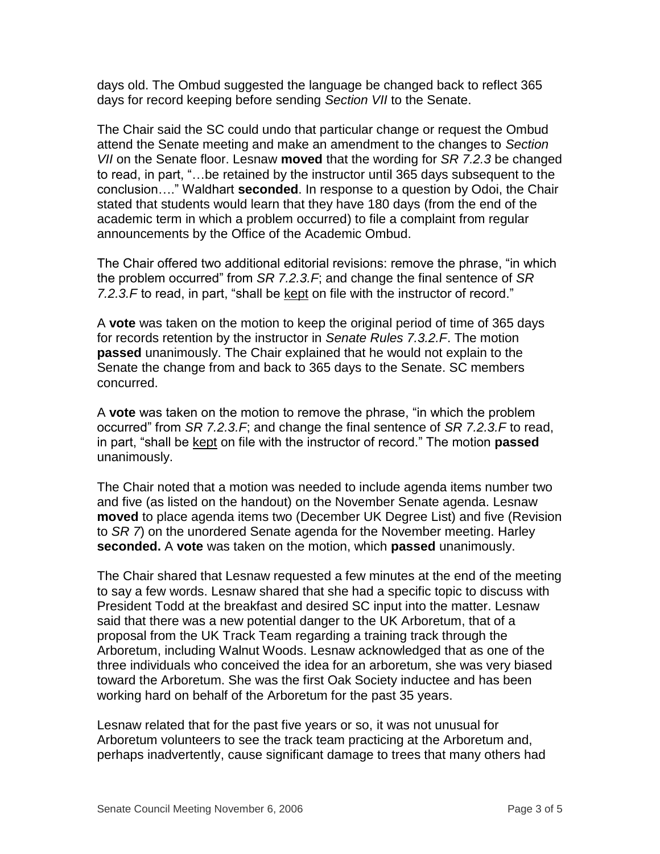days old. The Ombud suggested the language be changed back to reflect 365 days for record keeping before sending *Section VII* to the Senate.

The Chair said the SC could undo that particular change or request the Ombud attend the Senate meeting and make an amendment to the changes to *Section VII* on the Senate floor. Lesnaw **moved** that the wording for *SR 7.2.3* be changed to read, in part, "…be retained by the instructor until 365 days subsequent to the conclusion…." Waldhart **seconded**. In response to a question by Odoi, the Chair stated that students would learn that they have 180 days (from the end of the academic term in which a problem occurred) to file a complaint from regular announcements by the Office of the Academic Ombud.

The Chair offered two additional editorial revisions: remove the phrase, "in which the problem occurred" from *SR 7.2.3.F*; and change the final sentence of *SR 7.2.3.F* to read, in part, "shall be kept on file with the instructor of record."

A **vote** was taken on the motion to keep the original period of time of 365 days for records retention by the instructor in *Senate Rules 7.3.2.F*. The motion **passed** unanimously. The Chair explained that he would not explain to the Senate the change from and back to 365 days to the Senate. SC members concurred.

A **vote** was taken on the motion to remove the phrase, "in which the problem occurred" from *SR 7.2.3.F*; and change the final sentence of *SR 7.2.3.F* to read, in part, "shall be kept on file with the instructor of record." The motion **passed** unanimously.

The Chair noted that a motion was needed to include agenda items number two and five (as listed on the handout) on the November Senate agenda. Lesnaw **moved** to place agenda items two (December UK Degree List) and five (Revision to *SR 7*) on the unordered Senate agenda for the November meeting. Harley **seconded.** A **vote** was taken on the motion, which **passed** unanimously.

The Chair shared that Lesnaw requested a few minutes at the end of the meeting to say a few words. Lesnaw shared that she had a specific topic to discuss with President Todd at the breakfast and desired SC input into the matter. Lesnaw said that there was a new potential danger to the UK Arboretum, that of a proposal from the UK Track Team regarding a training track through the Arboretum, including Walnut Woods. Lesnaw acknowledged that as one of the three individuals who conceived the idea for an arboretum, she was very biased toward the Arboretum. She was the first Oak Society inductee and has been working hard on behalf of the Arboretum for the past 35 years.

Lesnaw related that for the past five years or so, it was not unusual for Arboretum volunteers to see the track team practicing at the Arboretum and, perhaps inadvertently, cause significant damage to trees that many others had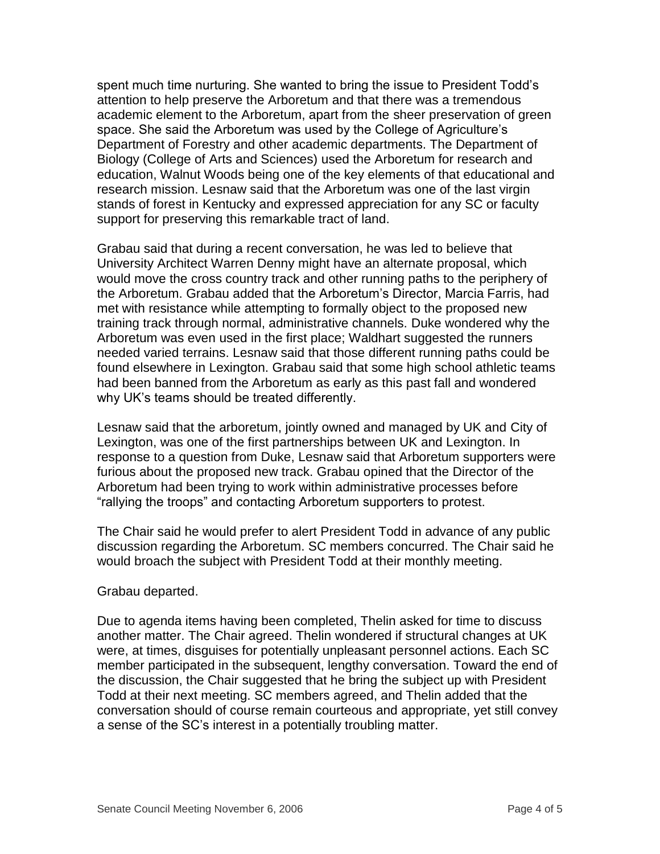spent much time nurturing. She wanted to bring the issue to President Todd's attention to help preserve the Arboretum and that there was a tremendous academic element to the Arboretum, apart from the sheer preservation of green space. She said the Arboretum was used by the College of Agriculture's Department of Forestry and other academic departments. The Department of Biology (College of Arts and Sciences) used the Arboretum for research and education, Walnut Woods being one of the key elements of that educational and research mission. Lesnaw said that the Arboretum was one of the last virgin stands of forest in Kentucky and expressed appreciation for any SC or faculty support for preserving this remarkable tract of land.

Grabau said that during a recent conversation, he was led to believe that University Architect Warren Denny might have an alternate proposal, which would move the cross country track and other running paths to the periphery of the Arboretum. Grabau added that the Arboretum's Director, Marcia Farris, had met with resistance while attempting to formally object to the proposed new training track through normal, administrative channels. Duke wondered why the Arboretum was even used in the first place; Waldhart suggested the runners needed varied terrains. Lesnaw said that those different running paths could be found elsewhere in Lexington. Grabau said that some high school athletic teams had been banned from the Arboretum as early as this past fall and wondered why UK's teams should be treated differently.

Lesnaw said that the arboretum, jointly owned and managed by UK and City of Lexington, was one of the first partnerships between UK and Lexington. In response to a question from Duke, Lesnaw said that Arboretum supporters were furious about the proposed new track. Grabau opined that the Director of the Arboretum had been trying to work within administrative processes before "rallying the troops" and contacting Arboretum supporters to protest.

The Chair said he would prefer to alert President Todd in advance of any public discussion regarding the Arboretum. SC members concurred. The Chair said he would broach the subject with President Todd at their monthly meeting.

#### Grabau departed.

Due to agenda items having been completed, Thelin asked for time to discuss another matter. The Chair agreed. Thelin wondered if structural changes at UK were, at times, disguises for potentially unpleasant personnel actions. Each SC member participated in the subsequent, lengthy conversation. Toward the end of the discussion, the Chair suggested that he bring the subject up with President Todd at their next meeting. SC members agreed, and Thelin added that the conversation should of course remain courteous and appropriate, yet still convey a sense of the SC's interest in a potentially troubling matter.